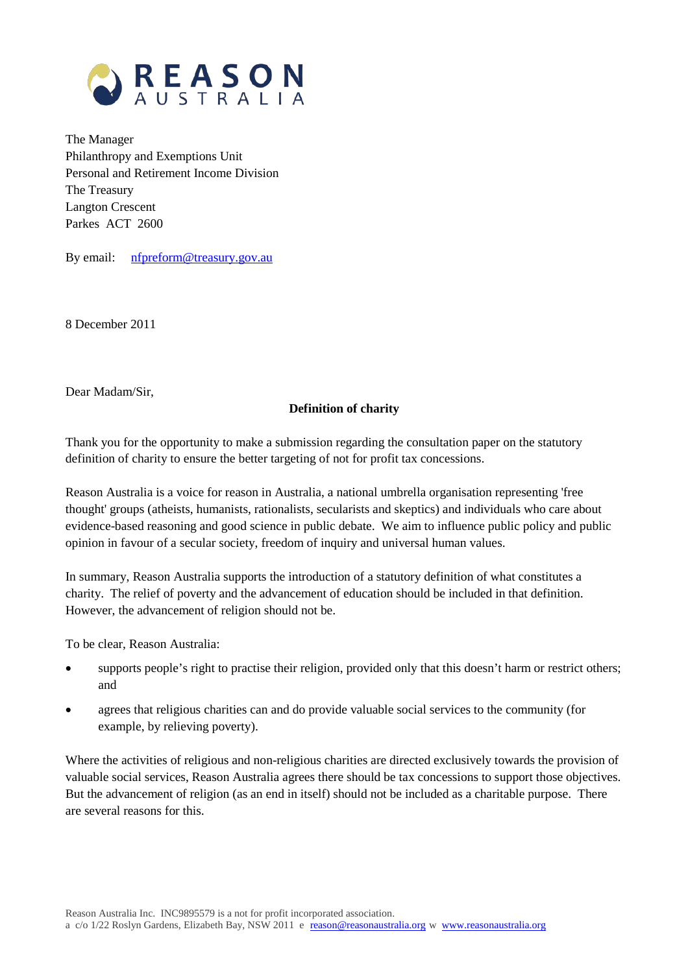

The Manager Philanthropy and Exemptions Unit Personal and Retirement Income Division The Treasury Langton Crescent Parkes ACT 2600

By email: [nfpreform@treasury.gov.au](mailto:nfpreform@treasury.gov.au)

8 December 2011

Dear Madam/Sir,

### **Definition of charity**

Thank you for the opportunity to make a submission regarding the consultation paper on the statutory definition of charity to ensure the better targeting of not for profit tax concessions.

Reason Australia is a voice for reason in Australia, a national umbrella organisation representing 'free thought' groups (atheists, humanists, rationalists, secularists and skeptics) and individuals who care about evidence-based reasoning and good science in public debate. We aim to influence public policy and public opinion in favour of a secular society, freedom of inquiry and universal human values.

In summary, Reason Australia supports the introduction of a statutory definition of what constitutes a charity. The relief of poverty and the advancement of education should be included in that definition. However, the advancement of religion should not be.

To be clear, Reason Australia:

- supports people's right to practise their religion, provided only that this doesn't harm or restrict others; and
- agrees that religious charities can and do provide valuable social services to the community (for example, by relieving poverty).

Where the activities of religious and non-religious charities are directed exclusively towards the provision of valuable social services, Reason Australia agrees there should be tax concessions to support those objectives. But the advancement of religion (as an end in itself) should not be included as a charitable purpose. There are several reasons for this.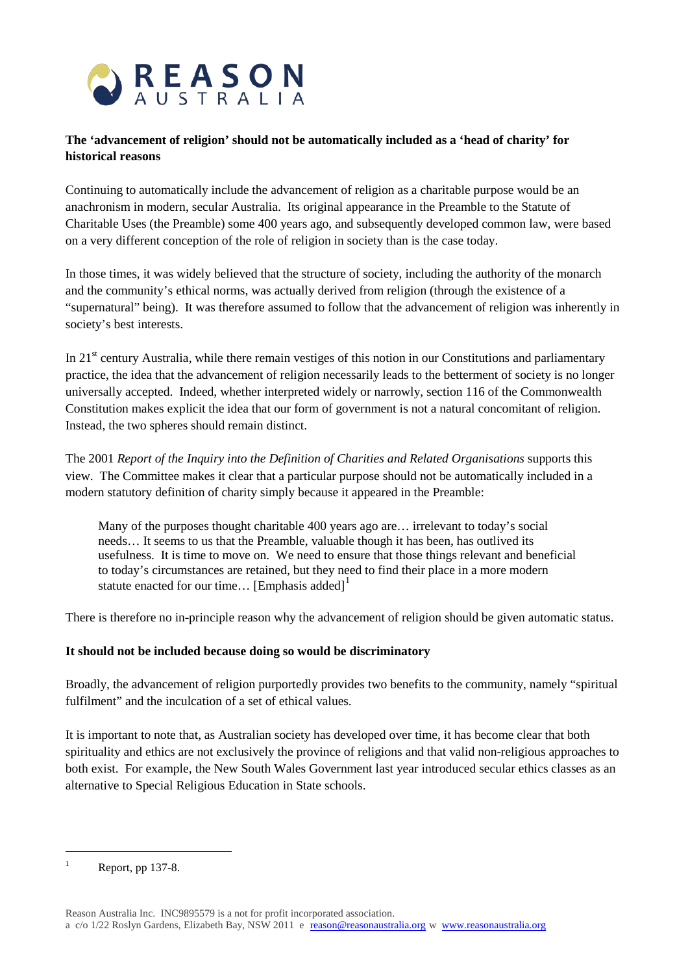

# **The 'advancement of religion' should not be automatically included as a 'head of charity' for historical reasons**

Continuing to automatically include the advancement of religion as a charitable purpose would be an anachronism in modern, secular Australia. Its original appearance in the Preamble to the Statute of Charitable Uses (the Preamble) some 400 years ago, and subsequently developed common law, were based on a very different conception of the role of religion in society than is the case today.

In those times, it was widely believed that the structure of society, including the authority of the monarch and the community's ethical norms, was actually derived from religion (through the existence of a "supernatural" being). It was therefore assumed to follow that the advancement of religion was inherently in society's best interests.

In 21<sup>st</sup> century Australia, while there remain vestiges of this notion in our Constitutions and parliamentary practice, the idea that the advancement of religion necessarily leads to the betterment of society is no longer universally accepted. Indeed, whether interpreted widely or narrowly, section 116 of the Commonwealth Constitution makes explicit the idea that our form of government is not a natural concomitant of religion. Instead, the two spheres should remain distinct.

The 2001 *Report of the Inquiry into the Definition of Charities and Related Organisations* supports this view. The Committee makes it clear that a particular purpose should not be automatically included in a modern statutory definition of charity simply because it appeared in the Preamble:

Many of the purposes thought charitable 400 years ago are… irrelevant to today's social needs… It seems to us that the Preamble, valuable though it has been, has outlived its usefulness. It is time to move on. We need to ensure that those things relevant and beneficial to today's circumstances are retained, but they need to find their place in a more modern statute enacted for our time... [Emphasis added] $<sup>1</sup>$  $<sup>1</sup>$  $<sup>1</sup>$ </sup>

There is therefore no in-principle reason why the advancement of religion should be given automatic status.

# **It should not be included because doing so would be discriminatory**

Broadly, the advancement of religion purportedly provides two benefits to the community, namely "spiritual fulfilment" and the inculcation of a set of ethical values.

It is important to note that, as Australian society has developed over time, it has become clear that both spirituality and ethics are not exclusively the province of religions and that valid non-religious approaches to both exist. For example, the New South Wales Government last year introduced secular ethics classes as an alternative to Special Religious Education in State schools.

<span id="page-1-0"></span> $1$  Report, pp 137-8.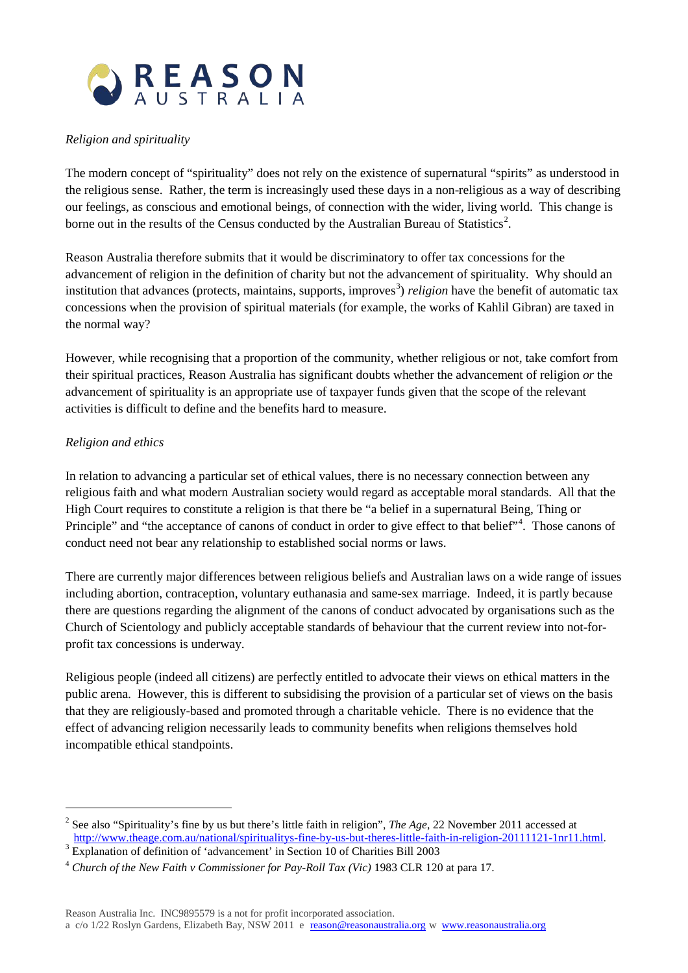

### *Religion and spirituality*

The modern concept of "spirituality" does not rely on the existence of supernatural "spirits" as understood in the religious sense. Rather, the term is increasingly used these days in a non-religious as a way of describing our feelings, as conscious and emotional beings, of connection with the wider, living world. This change is borne out in the results of the Census conducted by the Australian Bureau of Statistics<sup>[2](#page-2-0)</sup>.

Reason Australia therefore submits that it would be discriminatory to offer tax concessions for the advancement of religion in the definition of charity but not the advancement of spirituality. Why should an institution that advances (protects, maintains, supports, improves<sup>[3](#page-2-1)</sup>) *religion* have the benefit of automatic tax concessions when the provision of spiritual materials (for example, the works of Kahlil Gibran) are taxed in the normal way?

However, while recognising that a proportion of the community, whether religious or not, take comfort from their spiritual practices, Reason Australia has significant doubts whether the advancement of religion *or* the advancement of spirituality is an appropriate use of taxpayer funds given that the scope of the relevant activities is difficult to define and the benefits hard to measure.

# *Religion and ethics*

In relation to advancing a particular set of ethical values, there is no necessary connection between any religious faith and what modern Australian society would regard as acceptable moral standards. All that the High Court requires to constitute a religion is that there be "a belief in a supernatural Being, Thing or Principle" and "the acceptance of canons of conduct in order to give effect to that belief"<sup>[4](#page-2-2)</sup>. Those canons of conduct need not bear any relationship to established social norms or laws.

There are currently major differences between religious beliefs and Australian laws on a wide range of issues including abortion, contraception, voluntary euthanasia and same-sex marriage. Indeed, it is partly because there are questions regarding the alignment of the canons of conduct advocated by organisations such as the Church of Scientology and publicly acceptable standards of behaviour that the current review into not-forprofit tax concessions is underway.

Religious people (indeed all citizens) are perfectly entitled to advocate their views on ethical matters in the public arena. However, this is different to subsidising the provision of a particular set of views on the basis that they are religiously-based and promoted through a charitable vehicle. There is no evidence that the effect of advancing religion necessarily leads to community benefits when religions themselves hold incompatible ethical standpoints.

<span id="page-2-0"></span><sup>&</sup>lt;sup>2</sup> See also "Spirituality's fine by us but there's little faith in religion", *The Age*, 22 November 2011 accessed at http://www.theage.com.au/national/spiritualitys-fine-by-us-but-theres-little-faith-in-religion-2011112

<span id="page-2-1"></span><sup>&</sup>lt;sup>3</sup> Explanation of definition of 'advancement' in Section 10 of Charities Bill 2003

<span id="page-2-2"></span><sup>4</sup> *Church of the New Faith v Commissioner for Pay-Roll Tax (Vic)* 1983 CLR 120 at para 17.